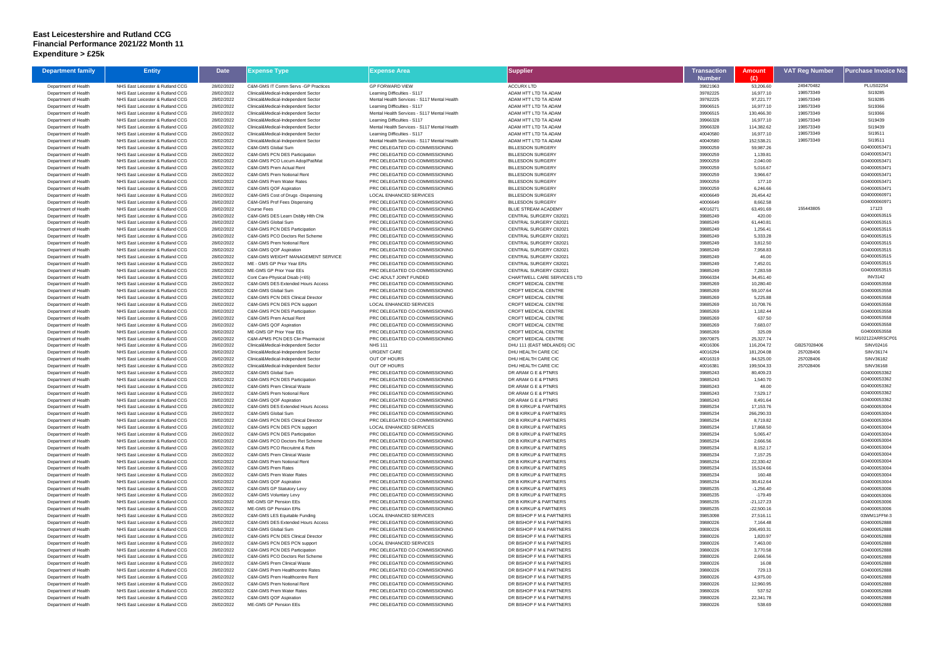## **East Leicestershire and Rutland CCG Financial Performance 2021/22 Month 11 Expenditure > £25k**

| <b>Department family</b>                     | <b>Entity</b>                                                        | <b>Date</b>              | <b>Expense Type</b>                                                     | Expense Area                                                     | <b>Supplier</b>                                       | Transaction               | Amount                  | <b>VAT Reg Number</b> | <b>Purchase Invoice No</b>     |
|----------------------------------------------|----------------------------------------------------------------------|--------------------------|-------------------------------------------------------------------------|------------------------------------------------------------------|-------------------------------------------------------|---------------------------|-------------------------|-----------------------|--------------------------------|
| Department of Health                         | NHS East Leicester & Rutland CCG                                     | 28/02/2022               | C&M-GMS IT Comm Servs -GP Practices                                     | <b>GP FORWARD VIEW</b>                                           | <b>ACCURX LTD</b>                                     | <b>Number</b><br>39821963 | (£)<br>53,206.60        | 249470482             | <b>PLUS02254</b>               |
| Department of Health                         | NHS East Leicester & Rutland CCG                                     | 28/02/2022               | Clinical&Medical-Independent Sector                                     | Learning Difficulties - S117                                     | ADAM HTT LTD TA ADAM                                  | 39782225                  | 16,977.10               | 198573349             | SI19285                        |
| Department of Health                         | NHS East Leicester & Rutland CCG                                     | 28/02/2022               | Clinical&Medical-Independent Sector                                     | Mental Health Services - S117 Mental Health                      | ADAM HTT LTD TA ADAM                                  | 39782225                  | 97,221.77               | 198573349             | SI19285                        |
| Department of Health                         | NHS East Leicester & Rutland CCG                                     | 28/02/2022               | Clinical&Medical-Independent Sector                                     | Learning Difficulties - S117                                     | ADAM HTT LTD TA ADAM                                  | 39906515                  | 16,977.10               | 198573349             | SI19366                        |
| Department of Health                         | NHS East Leicester & Rutland CCG                                     | 28/02/2022               | Clinical&Medical-Independent Sector                                     | Mental Health Services - S117 Mental Health                      | ADAM HTT LTD TA ADAM                                  | 39906515                  | 130,466.30              | 198573349             | SI19366                        |
| Department of Health                         | NHS East Leicester & Rutland CCG                                     | 28/02/2022               | Clinical&Medical-Independent Sector                                     | Learning Difficulties - S117                                     | ADAM HTT LTD TA ADAM                                  | 39966328                  | 16,977.10               | 198573349             | SI19439                        |
| Department of Health                         | NHS East Leicester & Rutland CCG                                     | 28/02/2022               | Clinical&Medical-Independent Sector                                     | Mental Health Services - S117 Mental Health                      | ADAM HTT LTD TA ADAM                                  | 39966328                  | 114,382.62              | 198573349             | SI19439                        |
| Department of Health                         | NHS East Leicester & Rutland CCG                                     | 28/02/2022               | Clinical&Medical-Independent Sector                                     | Learning Difficulties - S117                                     | ADAM HTT LTD TA ADAM                                  | 40040580                  | 16,977.10               | 198573349             | SI19511                        |
| Department of Health                         | NHS East Leicester & Rutland CCG                                     | 28/02/2022               | Clinical&Medical-Independent Sector                                     | Mental Health Services - S117 Mental Health                      | ADAM HTT LTD TA ADAM                                  | 40040580                  | 152,538.21              | 198573349             | SI19511                        |
| Department of Health<br>Department of Health | NHS East Leicester & Rutland CCG<br>NHS East Leicester & Rutland CCG | 28/02/2022<br>28/02/2022 | C&M-GMS Global Sum<br>C&M-GMS PCN DES Participation                     | PRC DELEGATED CO-COMMISSIONING<br>PRC DELEGATED CO-COMMISSIONING | <b>BILLESDON SURGERY</b><br><b>BILLESDON SURGERY</b>  | 39900259<br>39900259      | 59,987.26<br>1,139.81   |                       | G04000053471<br>G04000053471   |
| Department of Health                         | NHS East Leicester & Rutland CCG                                     | 28/02/2022               | C&M-GMS PCO Locum Adop/Pat/Mat                                          | PRC DELEGATED CO-COMMISSIONING                                   | <b>BILLESDON SURGERY</b>                              | 39900259                  | 2,040.00                |                       | G04000053471                   |
| Department of Health                         | NHS East Leicester & Rutland CCG                                     | 28/02/2022               | C&M-GMS Prem Actual Rent                                                | PRC DELEGATED CO-COMMISSIONING                                   | <b>BILLESDON SURGERY</b>                              | 39900259                  | 5,016.67                |                       | G04000053471                   |
| Department of Health                         | NHS East Leicester & Rutland CCG                                     | 28/02/2022               | C&M-GMS Prem Notional Rent                                              | PRC DELEGATED CO-COMMISSIONING                                   | <b>BILLESDON SURGERY</b>                              | 39900259                  | 3,966.67                |                       | G04000053471                   |
| Department of Health                         | NHS East Leicester & Rutland CCG                                     | 28/02/2022               | C&M-GMS Prem Water Rates                                                | PRC DELEGATED CO-COMMISSIONING                                   | <b>BILLESDON SURGERY</b>                              | 39900259                  | 177.10                  |                       | G04000053471                   |
| Department of Health                         | NHS East Leicester & Rutland CCG                                     | 28/02/2022               | C&M-GMS QOF Aspiration                                                  | PRC DELEGATED CO-COMMISSIONING                                   | <b>BILLESDON SURGERY</b>                              | 39900259                  | 6,246.66                |                       | G04000053471                   |
| Department of Health                         | NHS East Leicester & Rutland CCG                                     | 28/02/2022               | C&M-GMS Cost of Drugs -Dispensing                                       | LOCAL ENHANCED SERVICES                                          | <b>BILLESDON SURGERY</b>                              | 40006649                  | 26,454.42               |                       | G04000060971                   |
| Department of Health                         | NHS East Leicester & Rutland CCG                                     | 28/02/2022               | C&M-GMS Prof Fees Dispensing                                            | PRC DELEGATED CO-COMMISSIONING                                   | <b>BILLESDON SURGERY</b>                              | 40006649                  | 8,662.58                | 155443805             | G04000060971                   |
| Department of Health<br>Department of Health | NHS East Leicester & Rutland CCG<br>NHS East Leicester & Rutland CCG | 28/02/2022<br>28/02/2022 | <b>Course Fees</b><br>C&M-GMS DES Learn Dsblty Hith Chk                 | PRC DELEGATED CO-COMMISSIONING<br>PRC DELEGATED CO-COMMISSIONING | <b>BLUE STREAM ACADEMY</b><br>CENTRAL SURGERY C82021  | 40016271<br>39885249      | 63,491.69<br>420.00     |                       | 17123<br>G04000053515          |
| Department of Health                         | NHS East Leicester & Rutland CCG                                     | 28/02/2022               | C&M-GMS Global Sum                                                      | PRC DELEGATED CO-COMMISSIONING                                   | CENTRAL SURGERY C82021                                | 39885249                  | 61,440.81               |                       | G04000053515                   |
| Department of Health                         | NHS East Leicester & Rutland CCG                                     | 28/02/2022               | C&M-GMS PCN DES Participation                                           | PRC DELEGATED CO-COMMISSIONING                                   | CENTRAL SURGERY C82021                                | 39885249                  | 1,256.41                |                       | G04000053515                   |
| Department of Health                         | NHS East Leicester & Rutland CCG                                     | 28/02/2022               | C&M-GMS PCO Doctors Ret Scheme                                          | PRC DELEGATED CO-COMMISSIONING                                   | CENTRAL SURGERY C82021                                | 39885249                  | 5,333.28                |                       | G04000053515                   |
| Department of Health                         | NHS East Leicester & Rutland CCG                                     | 28/02/2022               | C&M-GMS Prem Notional Rent                                              | PRC DELEGATED CO-COMMISSIONING                                   | CENTRAL SURGERY C82021                                | 39885249                  | 3,812.50                |                       | G04000053515                   |
| Department of Health                         | NHS East Leicester & Rutland CCG                                     | 28/02/2022               | C&M-GMS QOF Aspiration                                                  | PRC DELEGATED CO-COMMISSIONING                                   | CENTRAL SURGERY C82021                                | 39885249                  | 7,958.83                |                       | G04000053515                   |
| Department of Health                         | NHS East Leicester & Rutland CCG                                     | 28/02/2022               | C&M-GMS WEIGHT MANAGEMENT SERVICE                                       | PRC DELEGATED CO-COMMISSIONING                                   | CENTRAL SURGERY C82021                                | 39885249                  | 46.00                   |                       | G04000053515                   |
| Department of Health                         | NHS East Leicester & Rutland CCG                                     | 28/02/2022               | ME - GMS GP Prior Year ERs                                              | PRC DELEGATED CO-COMMISSIONING                                   | CENTRAL SURGERY C82021                                | 39885249                  | 7,452.01                |                       | G04000053515                   |
| Department of Health                         | NHS East Leicester & Rutland CCG                                     | 28/02/2022               | ME-GMS GP Prior Year EEs                                                | PRC DELEGATED CO-COMMISSIONING                                   | CENTRAL SURGERY C82021<br>CHARTWELL CARE SERVICES LTD | 39885249                  | 7,283.59                |                       | G04000053515<br><b>INV3142</b> |
| Department of Health<br>Department of Health | NHS East Leicester & Rutland CCG<br>NHS East Leicester & Rutland CCG | 28/02/2022<br>28/02/2022 | Cont Care-Physical Disab (<65)<br>C&M-GMS DES Extended Hours Access     | CHC ADULT JOINT FUNDED<br>PRC DELEGATED CO-COMMISSIONING         | CROFT MEDICAL CENTRE                                  | 39966334<br>39885269      | 34,451.40<br>10,280.40  |                       | G04000053558                   |
| Department of Health                         | NHS East Leicester & Rutland CCG                                     | 28/02/2022               | C&M-GMS Global Sum                                                      | PRC DELEGATED CO-COMMISSIONING                                   | <b>CROFT MEDICAL CENTRE</b>                           | 39885269                  | 59,107.64               |                       | G04000053558                   |
| Department of Health                         | NHS East Leicester & Rutland CCG                                     | 28/02/2022               | <b>C&amp;M-GMS PCN DES Clinical Director</b>                            | PRC DELEGATED CO-COMMISSIONING                                   | CROFT MEDICAL CENTRE                                  | 39885269                  | 5,225.88                |                       | G04000053558                   |
| Department of Health                         | NHS East Leicester & Rutland CCG                                     | 28/02/2022               | C&M-GMS PCN DES PCN support                                             | LOCAL ENHANCED SERVICES                                          | CROFT MEDICAL CENTRE                                  | 39885269                  | 10,708.76               |                       | G04000053558                   |
| Department of Health                         | NHS East Leicester & Rutland CCG                                     | 28/02/2022               | <b>C&amp;M-GMS PCN DES Participation</b>                                | PRC DELEGATED CO-COMMISSIONING                                   | CROFT MEDICAL CENTRE                                  | 39885269                  | 1,182.44                |                       | G04000053558                   |
| Department of Health                         | NHS East Leicester & Rutland CCG                                     | 28/02/2022               | C&M-GMS Prem Actual Rent                                                | PRC DELEGATED CO-COMMISSIONING                                   | CROFT MEDICAL CENTRE                                  | 39885269                  | 637.50                  |                       | G04000053558                   |
| Department of Health                         | NHS East Leicester & Rutland CCG                                     | 28/02/2022               | C&M-GMS QOF Aspiration                                                  | PRC DELEGATED CO-COMMISSIONING                                   | CROFT MEDICAL CENTRE                                  | 39885269                  | 7,683.07                |                       | G04000053558                   |
| Department of Health                         | NHS East Leicester & Rutland CCG                                     | 28/02/2022               | ME-GMS GP Prior Year EEs                                                | PRC DELEGATED CO-COMMISSIONING                                   | CROFT MEDICAL CENTRE                                  | 39885269                  | 325.09                  |                       | G04000053558                   |
| Department of Health<br>Department of Health | NHS East Leicester & Rutland CCG<br>NHS East Leicester & Rutland CCG | 28/02/2022<br>28/02/2022 | C&M-APMS PCN DES Clin Pharmacist<br>Clinical&Medical-Independent Sector | PRC DELEGATED CO-COMMISSIONING<br><b>NHS 111</b>                 | CROFT MEDICAL CENTRE<br>DHU 111 (EAST MIDLANDS) CIC   | 39970875<br>40016306      | 25,327.74<br>116,204.72 | GB257028406           | M102122ARRSCP01<br>SINV02416   |
| Department of Health                         | NHS East Leicester & Rutland CCG                                     | 28/02/2022               | Clinical&Medical-Independent Sector                                     | <b>URGENT CARE</b>                                               | DHU HEALTH CARE CIC                                   | 40016294                  | 181,204.08              | 257028406             | SINV36174                      |
| Department of Health                         | NHS East Leicester & Rutland CCG                                     | 28/02/2022               | Clinical&Medical-Independent Sector                                     | <b>OUT OF HOURS</b>                                              | DHU HEALTH CARE CIC                                   | 40016319                  | 84,525.00               | 257028406             | SINV36182                      |
| Department of Health                         | NHS East Leicester & Rutland CCG                                     | 28/02/2022               | Clinical&Medical-Independent Sector                                     | OUT OF HOURS                                                     | DHU HEALTH CARE CIC                                   | 40016381                  | 199,504.33              | 257028406             | SINV36168                      |
| Department of Health                         | NHS East Leicester & Rutland CCG                                     | 28/02/2022               | C&M-GMS Global Sum                                                      | PRC DELEGATED CO-COMMISSIONING                                   | DR ARAM G E & PTNRS                                   | 39885243                  | 80,409.23               |                       | G04000053362                   |
| Department of Health                         | NHS East Leicester & Rutland CCG                                     | 28/02/2022               | C&M-GMS PCN DES Participation                                           | PRC DELEGATED CO-COMMISSIONING                                   | DR ARAM G E & PTNRS                                   | 39885243                  | 1,540.70                |                       | G04000053362                   |
| Department of Health                         | NHS East Leicester & Rutland CCG                                     | 28/02/2022               | <b>C&amp;M-GMS Prem Clinical Waste</b>                                  | PRC DELEGATED CO-COMMISSIONING                                   | DR ARAM G E & PTNRS                                   | 39885243                  | 48.00                   |                       | G04000053362                   |
| Department of Health                         | NHS East Leicester & Rutland CCG                                     | 28/02/2022               | C&M-GMS Prem Notional Rent                                              | PRC DELEGATED CO-COMMISSIONING<br>PRC DELEGATED CO-COMMISSIONING | DR ARAM G E & PTNRS                                   | 39885243                  | 7,529.17                |                       | G04000053362<br>G04000053362   |
| Department of Health<br>Department of Health | NHS East Leicester & Rutland CCG<br>NHS East Leicester & Rutland CCG | 28/02/2022<br>28/02/2022 | C&M-GMS QOF Aspiration<br>C&M-GMS DES Extended Hours Access             | PRC DELEGATED CO-COMMISSIONING                                   | DR ARAM G E & PTNRS<br>DR B KIRKUP & PARTNERS         | 39885243<br>39885234      | 8,491.64<br>17,153.76   |                       | G04000053004                   |
| Department of Health                         | NHS East Leicester & Rutland CCG                                     | 28/02/2022               | C&M-GMS Global Sum                                                      | PRC DELEGATED CO-COMMISSIONING                                   | DR B KIRKUP & PARTNERS                                | 39885234                  | 266,290.33              |                       | G04000053004                   |
| Department of Health                         | NHS East Leicester & Rutland CCG                                     | 28/02/2022               | C&M-GMS PCN DES Clinical Director                                       | PRC DELEGATED CO-COMMISSIONING                                   | DR B KIRKUP & PARTNERS                                | 39885234                  | 8,719.82                |                       | G04000053004                   |
| Department of Health                         | NHS East Leicester & Rutland CCG                                     | 28/02/2022               | C&M-GMS PCN DES PCN support                                             | LOCAL ENHANCED SERVICES                                          | DR B KIRKUP & PARTNERS                                | 39885234                  | 17,868.50               |                       | G04000053004                   |
| Department of Health                         | NHS East Leicester & Rutland CCG                                     | 28/02/2022               | C&M-GMS PCN DES Participation                                           | PRC DELEGATED CO-COMMISSIONING                                   | DR B KIRKUP & PARTNERS                                | 39885234                  | 5,065.47                |                       | G04000053004                   |
| Department of Health                         | NHS East Leicester & Rutland CCG                                     | 28/02/2022               | C&M-GMS PCO Doctors Ret Scheme                                          | PRC DELEGATED CO-COMMISSIONING                                   | DR B KIRKUP & PARTNERS                                | 39885234                  | 2,666.56                |                       | G04000053004                   |
| Department of Health                         | NHS East Leicester & Rutland CCG                                     | 28/02/2022               | C&M-GMS PCO Recruitmt & Retn                                            | PRC DELEGATED CO-COMMISSIONING                                   | DR B KIRKUP & PARTNERS                                | 39885234                  | 8,152.17                |                       | G04000053004                   |
| Department of Health                         | NHS East Leicester & Rutland CCG                                     | 28/02/2022               | <b>C&amp;M-GMS Prem Clinical Waste</b>                                  | PRC DELEGATED CO-COMMISSIONING                                   | DR B KIRKUP & PARTNERS                                | 39885234                  | 7,157.25                |                       | G04000053004                   |
| Department of Health<br>Department of Health | NHS East Leicester & Rutland CCG<br>NHS East Leicester & Rutland CCG | 28/02/2022<br>28/02/2022 | C&M-GMS Prem Notional Rent<br><b>C&amp;M-GMS Prem Rates</b>             | PRC DELEGATED CO-COMMISSIONING<br>PRC DELEGATED CO-COMMISSIONING | DR B KIRKUP & PARTNERS<br>DR B KIRKUP & PARTNERS      | 39885234<br>39885234      | 22,330.42<br>15,524.66  |                       | G04000053004<br>G04000053004   |
| Department of Health                         | NHS East Leicester & Rutland CCG                                     | 28/02/2022               | C&M-GMS Prem Water Rates                                                | PRC DELEGATED CO-COMMISSIONING                                   | DR B KIRKUP & PARTNERS                                | 39885234                  | 160.48                  |                       | G04000053004                   |
| Department of Health                         | NHS East Leicester & Rutland CCG                                     | 28/02/2022               | C&M-GMS QOF Aspiration                                                  | PRC DELEGATED CO-COMMISSIONING                                   | DR B KIRKUP & PARTNERS                                | 39885234                  | 30,412.64               |                       | G04000053004                   |
| Department of Health                         | NHS East Leicester & Rutland CCG                                     | 28/02/2022               | C&M-GMS GP Statutory Levy                                               | PRC DELEGATED CO-COMMISSIONING                                   | DR B KIRKUP & PARTNERS                                | 39885235                  | $-1,256.40$             |                       | G04000053006                   |
| Department of Health                         | NHS East Leicester & Rutland CCG                                     | 28/02/2022               | C&M-GMS Voluntary Levy                                                  | PRC DELEGATED CO-COMMISSIONING                                   | DR B KIRKUP & PARTNERS                                | 39885235                  | $-179.49$               |                       | G04000053006                   |
| Department of Health                         | NHS East Leicester & Rutland CCG                                     | 28/02/2022               | ME-GMS GP Pension EEs                                                   | PRC DELEGATED CO-COMMISSIONING                                   | DR B KIRKUP & PARTNERS                                | 39885235                  | $-21,127.23$            |                       | G04000053006                   |
| Department of Health                         | NHS East Leicester & Rutland CCG                                     | 28/02/2022               | ME-GMS GP Pension ERs                                                   | PRC DELEGATED CO-COMMISSIONING                                   | DR B KIRKUP & PARTNERS                                | 39885235                  | $-22,500.16$            |                       | G04000053006                   |
| Department of Health                         | NHS East Leicester & Rutland CCG<br>NHS East Leicester & Rutland CCG | 28/02/2022               | C&M-GMS LES Equitable Funding<br>C&M-GMS DES Extended Hours Access      | <b>LOCAL ENHANCED SERVICES</b>                                   | DR BISHOP F M & PARTNERS<br>DR BISHOP F M & PARTNERS  | 39853098<br>39880226      | 27,516.11               |                       | 03WM11FFM-3                    |
| Department of Health                         | NHS East Leicester & Rutland CCG                                     | 28/02/2022               | C&M-GMS Global Sum                                                      | PRC DELEGATED CO-COMMISSIONING<br>PRC DELEGATED CO-COMMISSIONING | DR BISHOP F M & PARTNERS                              | 39880226                  | 7,164.48<br>206,493.31  |                       | G04000052888<br>G04000052888   |
| Department of Health<br>Department of Health | NHS East Leicester & Rutland CCG                                     | 28/02/2022<br>28/02/2022 | C&M-GMS PCN DES Clinical Director                                       | PRC DELEGATED CO-COMMISSIONING                                   | DR BISHOP F M & PARTNERS                              | 39880226                  | 1,820.97                |                       | G04000052888                   |
| Department of Health                         | NHS East Leicester & Rutland CCG                                     | 28/02/2022               | C&M-GMS PCN DES PCN support                                             | LOCAL ENHANCED SERVICES                                          | DR BISHOP F M & PARTNERS                              | 39880226                  | 7,463.00                |                       | G04000052888                   |
| Department of Health                         | NHS East Leicester & Rutland CCG                                     | 28/02/2022               | C&M-GMS PCN DES Participation                                           | PRC DELEGATED CO-COMMISSIONING                                   | DR BISHOP F M & PARTNERS                              | 39880226                  | 3,770.58                |                       | G04000052888                   |
| Department of Health                         | NHS East Leicester & Rutland CCG                                     | 28/02/2022               | C&M-GMS PCO Doctors Ret Scheme                                          | PRC DELEGATED CO-COMMISSIONING                                   | DR BISHOP F M & PARTNERS                              | 39880226                  | 2,666.56                |                       | G04000052888                   |
| Department of Health                         | NHS East Leicester & Rutland CCG                                     | 28/02/2022               | <b>C&amp;M-GMS Prem Clinical Waste</b>                                  | PRC DELEGATED CO-COMMISSIONING                                   | DR BISHOP F M & PARTNERS                              | 39880226                  | 16.08                   |                       | G04000052888                   |
| Department of Health                         | NHS East Leicester & Rutland CCG                                     | 28/02/2022               | C&M-GMS Prem Healthcentre Rates                                         | PRC DELEGATED CO-COMMISSIONING                                   | DR BISHOP F M & PARTNERS                              | 39880226                  | 729.13                  |                       | G04000052888                   |
| Department of Health                         | NHS East Leicester & Rutland CCG                                     | 28/02/2022               | C&M-GMS Prem Healthcentre Rent                                          | PRC DELEGATED CO-COMMISSIONING                                   | DR BISHOP F M & PARTNERS                              | 39880226                  | 4,975.00                |                       | G04000052888                   |
| Department of Health                         | NHS East Leicester & Rutland CCG                                     | 28/02/2022               | C&M-GMS Prem Notional Rent                                              | PRC DELEGATED CO-COMMISSIONING                                   | DR BISHOP F M & PARTNERS                              | 39880226                  | 12,960.95               |                       | G04000052888                   |
| Department of Health<br>Department of Health | NHS East Leicester & Rutland CCG<br>NHS East Leicester & Rutland CCG | 28/02/2022<br>28/02/2022 | C&M-GMS Prem Water Rates<br>C&M-GMS QOF Aspiration                      | PRC DELEGATED CO-COMMISSIONING<br>PRC DELEGATED CO-COMMISSIONING | DR BISHOP F M & PARTNERS<br>DR BISHOP F M & PARTNERS  | 39880226<br>39880226      | 537.52<br>22,341.78     |                       | G04000052888<br>G04000052888   |
| Department of Health                         | NHS East Leicester & Rutland CCG                                     | 28/02/2022               | ME-GMS GP Pension EEs                                                   | PRC DELEGATED CO-COMMISSIONING                                   | DR BISHOP F M & PARTNERS                              | 39880226                  | 538.69                  |                       | G04000052888                   |
|                                              |                                                                      |                          |                                                                         |                                                                  |                                                       |                           |                         |                       |                                |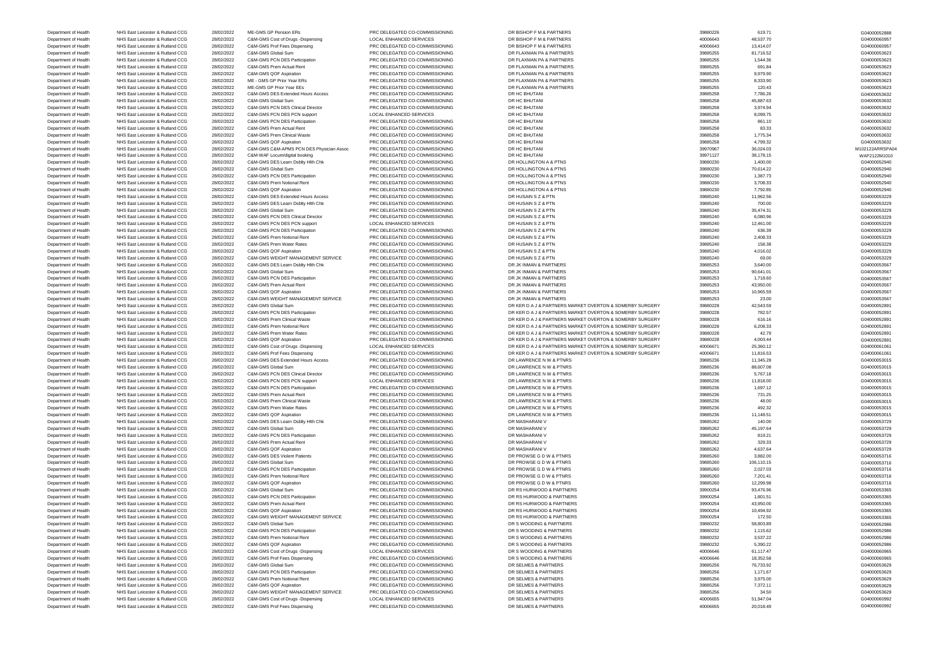Department of Health NHS East Leicester & Rutland CCG 28/02/2022 ME-GMS GP Pension ERs PRC DELEGATED CO-COMMISSIONING DR BISHOP F M & PARTNERS 39880226 39880226 619.71 619.71 G04000052888 Department of Health NHS East Leicester & Rutland CCG 28/02/2022 C&M-GMS Cost of Drugs -Dispensing LOCAL ENHANCED SERVICES DR BISHOP F M & PARTNERS 40006643 48,537.70 48,537.70 48,537.70 604000060957 Department of Health NHS East Leicester & Rutland CCG 28/02/2022 C&M-GMS Prof Fees Dispensing PRC DELEGATED CO-COMMISSIONING DR BISHOP F M & PARTNERS 40006643 40006643 13,414.07 40006643 13,414.07 604000009957 Department of Health NHS East Leicester & Rutland CCG 28/02/2022 C&M-GMS Global Sum PRC DELEGATED CO-COMMISSIONING DR FLAXMAN PA & PARTNERS 39885255 81,716.52 81,716.52 604000053623 Department of Health NHS East Leicester & Rutland CCG 28/02/2022 C&M-GMS PCN DES Participation PRC DELEGATED CO-COMMISSIONING DR FLAXMAN PA & PARTNERS 39885255 3,544.36 39885255 1,544.36 39885255 1,544.36 G04000053623 Department of Health NHS East Leicester & Rutland CCG 28/02/2022 C&M-GMS Prem Actual Rent PRC DELEGATED CO-COMMISSIONING DR FLAXMAN PA & PARTNERS 39885255 691.84 691.84 691.84 G04000053623 Department of Health NHS East Leicester & Rutland CCG 28/02/2022 C&M-GMS QOF Aspiration PRC DELEGATED CO-COMMISSIONING DR FLAXMAN PA & PARTNERS 39885255 3,979.90 39885255 9,979.90 S04000053623 Department of Health NHS East Leicester & Rutland CCG 28/02/2022 ME - GMS GP Prior Year ERs PRC DELEGATED CO-COMMISSIONING DR FLAXMAN PA & PARTNERS 39885255 3,333.90 39885255 8,333.90 39885255 8,333.90 G04000053623 Department of Health NHS East Leicester & Rutland CCG 28/02/2022 ME-GMS GP Prior Year EEs PRC DELEGATED CO-COMMISSIONING DR FLAXMAN PA & PARTNERS 39885255 39885255 120.43 120.43 G04000053623 Department of Health NHS East Leicester & Rutland CCG 28/02/2022 C&M-GMS DES Extended Hours Access PRC DELEGATED CO-COMMISSIONING DR HC BHUTANI 39885258 7,786.26 7,786.26 7,786.26 7,788.26 7,885258 7,788.26 7,885258 7,788. Department of Health NHS East Leicester & Rutland CCG 28/02/2022 C&M-GMS Global Sum PRC DELEGATED CO-COMMISSIONING DR HC BHUTANI 39885258 45,887.63 45,887.63 45,887.63 604000053632 Department of Health NHS East Leicester & Rutland CCG 28/02/2022 C&M-GMS PCN DES Clinical Director PRC DELEGATED CO-COMMISSIONING DR HC BHUTANI 39885258 3,974.94 39885258 3,974.94 3,986258 3,974.94 3,986258 3,974.94 G04000 Department of Health NHS East Leicester & Rutland CCG 28/02/2022 C&M-GMS PCN DES PCN support LOCAL ENHANCED SERVICES DR HC BHUTANI 39885258 39885258 3,099.75 8,099.75 604000053632 Department of Health NHS East Leicester & Rutland CCG 28/02/2022 C&M-GMS PCN DES Participation PRC DELEGATED CO-COMMISSIONING DR HC BHUTANI 39885258 861.10 39885258 861.10 604000053632 Department of Health NHS East Leicester & Rutland CCG 28/02/2022 C&M-GMS Prem Actual Rent PRC DELEGATED CO-COMMISSIONING DR HC BHUTANI 39885258 33.33 8385258 83.33 83.33 83.33 604000053632 Department of Health NHS East Leicester & Rutland CCG 28/02/2022 C&M-GMS Prem Clinical Waste PRC DELEGATED CO-COMMISSIONING DR HC BHUTANI 39885258 39885258 1,775.34 1,775.34 604000053632 Department of Health NHS East Leicester & Rutland CCG 28/02/2022 C&M-GMS QOF Aspiration PRC DELEGATED CO-COMMISSIONING DR HC BHUTANI DR AND S9885258 4,799.32 CAM-GMS QUE ASPIRAL AND PRODUCT AND PRC DELEGATED CO-COMMISSIONI Department of Health NHS East Leicester & Rutland CCG 28/02/2022 C&M-GMS C&M-APMS PCN DES Physician Assoc PRC DELEGATED CO-COMMISSIONING DR HC BHUTANI 2017 2000 2000 2000 39970967 36,024.03 M102122ARRSPA04 Department of Health NHS East Leicester & Rutland CCG 28/02/2022 C&M-WAF Locum/digital booking PRC DELEGATED CO-COMMISSIONING DR HC BHUTANI 39971127 38,178.15 39971127 38,178.15 WAF2122M1010 Department of Health NHS East Leicester & Rutland CCG 28/02/2022 C&M-GMS DES Learn Dsblty Hlth Chk PRC DELEGATED CO-COMMISSIONING DR HOLLINGTON A & PTNS 39880230 39880230 1,400.00 1,400.00 1,400.00 1,400.00 604000052940 Department of Health NHS East Leicester & Rutland CCG 28/02/2022 C&M-GMS Global Sum PRC DELEGATED CO-COMMISSIONING DR HOLLINGTON A & PTNS 39880230 70,614.22 70614.22 6604000052940 Department of Health NHS East Leicester & Rutland CCG 28/02/2022 C&M-GMS PCN DES Participation PRC DELEGATED CO-COMMISSIONING DR HOLLINGTON A & PTNS 39880230 1,387.73 1,387.73 50800230 1,387.73 604000052940 Department of Health NHS East Leicester & Rutland CCG 28/02/2022 C&M-GMS Prem Notional Rent PRC DELEGATED CO-COMMISSIONING DR HOLLINGTON A & PTNS 39880230 3,708.33 39880230 3,708.33 G04000052940 Department of Health NHS East Leicester & Rutland CCG 28/02/2022 C&M-GMS QOF Aspiration PRC DELEGATED CO-COMMISSIONING DR HOLLINGTON A & PTNS 39880230 7,792.85 7,792.85 7,792.85 604000052940 Department of Health NHS East Leicester & Rutland CCG 28/02/2022 C&M-GMS DES Extended Hours Access PRC DELEGATED CO-COMMISSIONING DR HUSAIN S Z & PTN 39885240 39885240 11,962.56 11,962.56 39885240 11,962.56 604000053229 Department of Health NHS East Leicester & Rutland CCG 28/02/2022 C&M-GMS DES Learn Dsblty Hlth Chk PRC DELEGATED CO-COMMISSIONING DR HUSAIN S Z & PTN 39885240 700.00 700.00 700.00 700.00 700.00 604000053229 Department of Health NHS East Leicester & Rutland CCG 28/02/2022 C&M-GMS Global Sum PRC DELEGATED CO-COMMISSIONING DR HUSAIN S Z & PTN 39885240 39885240 Department of Health NHS East Leicester & Rutland CCG 28/02/2022 C&M-GMS PCN DES Clinical Director PRC DELEGATED CO-COMMISSIONING DR HUSAIN S Z & PTN 39885240 5,080.96 6080.96 6,080.96 604000053229 Department of Health NHS East Leicester & Rutland CCG 28/02/2022 C&M-GMS PCN DES PCN support LOCAL ENHANCED SERVICES DR HUSAIN S Z & PTN 39885240 39885240 12,461.00 12,461.00 G04000053229 G604000053229 Department of Health NHS East Leicester & Rutland CCG 28/02/2022 C&M-GMS PCN DES Participation PRC DELEGATED CO-COMMISSIONING DR HUSAIN S Z & PTN 39885240 636.39 604000053229 GM-G04000053229 Department of Health NHS East Leicester & Rutland CCG 28/02/2022 C&M-GMS Prem Notional Rent PRC DELEGATED CO-COMMISSIONING DR HUSAIN S Z & PTN 39885240 2,408.33885240 Department of Health NHS East Leicester & Rutland CCG 28/02/2022 C&M-GMS Prem Water Rates PRC DELEGATED CO-COMMISSIONING DR HUSAIN S Z & PTN 39885240 39885240 158.38 158.38 G04000053229 Department of Health NHS East Leicester & Rutland CCG 28/02/2022 C&M-GMS QOF Aspiration PRC DELEGATED CO-COMMISSIONING DR HUSAIN S Z & PTN 39885240 4,016.02 4,016.02 4,016.02 604000053229 Department of Health NHS East Leicester & Rutland CCG 28/02/2022 C&M-GMS WEIGHT MANAGEMENT SERVICE PRC DELEGATED CO-COMMISSIONING DR HUSAIN S Z & PTN 39885240 59885240 69.00 604000053229 GMO00053229 Department of Health NHS East Leicester & Rutland CCG 28/02/2022 C&M-GMS DES Learn Dsblty Hlth Chk PRC DELEGATED CO-COMMISSIONING DR JK INMAN & PARTNERS 39885253 3,640.00 39885253 3,640.00 39885253 3,640.00 G04000053567 Department of Health NHS East Leicester & Rutland CCG 28/02/2022 C&M-GMS Global Sum PRC DELEGATED CO-COMMISSIONING DR JK INMAN & PARTNERS 39885253 90,641.01 39885253 90,641.01 G04000053567 Department of Health NHS East Leicester & Rutland CCG 28/02/2022 C&M-GMS PCN DES Participation PRC DELEGATED CO-COMMISSIONING DR JK INMAN & PARTNERS 39885253 3,8885253 1,718.60 39885253 1,718.60 39885253 1,718.60 G04000053 Department of Health NHS East Leicester & Rutland CCG 28/02/2022 C&M-GMS Prem Actual Rent PRC DELEGATED CO-COMMISSIONING DR JK INMAN & PARTNERS 39885253 43,950.00 43,950.00 43,950.00 604000053567 Department of Health NHS East Leicester & Rutland CCG 28/02/2022 C&M-GMS QOF Aspiration PRC DELEGATED CO-COMMISSIONING DR JK INMAN & PARTNERS 39885253 39885253 10,965.59 10,965.59 39885253 10,965.59 10,965.59 G04000053567 Department of Health NHS East Leicester & Rutland CCG 28/02/2022 C&M-GMS WEIGHT MANAGEMENT SERVICE PRC DELEGATED CO-COMMISSIONING DR JK INMAN & PARTNERS 39885253 Department of Health NHS East Leicester & Rutland CCG 28/02/2022 C&M-GMS Global Sum PRC DELEGATED CO-COMMISSIONING DR KER D A J & PARTNERS MARKET OVERTON & SOMERBY SURGERY 39880228 Department of Health NHS East Leicester & Rutland CCG 28/02/2022 C&M-GMS PCN DES Participation PRC DELEGATED CO-COMMISSIONING DR KER D A J & PARTNERS MARKET OVERTON & SOMERBY SURGERY 39880228 Department of Health NHS East Leicester & Rutland CCG 28/02/2022 C&M-GMS Prem Clinical Waste PRC DELEGATED CO-COMMISSIONING DR KER D A J & PARTNERS MARKET OVERTON & SOMERBY SURGERY 39880228 Department of Health NHS East Leicester & Rutland CCG 28/02/2022 C&M-GMS Prem Notional Rent PRC DELEGATED CO-COMMISSIONING DR KER DAJ & PARTNERS MARKET OVERTON & SOMERBY SURGERY 39880228<br>Department of Health NHS East Leice Department of Health NHS East Leicester & Rutland CCG 28/02/2022 C&M-GMS Prem Water Rates PRC DELEGATED CO-COMMISSIONING DR KER D A J & PARTNERS MARKET OVERTON & SOMERBY SURGERY 39880228 Department of Health NHS East Leicester & Rutland CCG 28/02/2022 C&M-GMS QOF Aspiration PRC DELEGATED CO-COMMISSIONING DR KER D A J & PARTNERS MARKET OVERTON & SOMERBY SURGERY 39880228 Department of Health NHS East Leicester & Rutland CCG 28/02/2022 C&M-GMS Cost of Drugs -Dispensing LOCAL ENHANCED SERVICES DR KER D A J & PARTNERS MARKET OVERTON & SOMERBY SURGERY 40006671 Department of Health NHS East Leicester & Rutland CCG 28/02/2022 C&M-GMS Prof Fees Dispensing PRC DELEGATED CO-COMMISSIONING DR KER D A J & PARTNERS MARKET OVERTON & SOMERRY SURGERY 40006671 Department of Health NHS East Leicester & Rutland CCG 28/02/2022 C&M-GMS DES Extended Hours Access PRC DELEGATED CO-COMMISSIONING DR LAWRENCE N W & PTNRS 39885236 39885236 11,345.28 11,345.28 604000053015 Department of Health NHS East Leicester & Rutland CCG 28/02/2022 C&M-GMS Global Sum PRC DELEGATED CO-COMMISSIONING DR LAWRENCE N W & PTNRS 39885236 39885236 88,607.08 88,607.08 604000053015 Department of Health NHS East Leicester & Rutland CCG 28/02/2022 C&M-GMS PCN DES Clinical Director PRC DELEGATED CO-COMMISSIONING DR LAWRENCE N W & PTNRS NUSL ENHANCED SERVICES DR LAWRENCE N W & PTNRS NUSL ENHANCED SERVICE Department of Health NHS East Leicester & Rutland CCG 28/02/2022 C&M-GMS PCN DES PCN support LOCAL ENHANCED SERVICES DR LAWRENCE N W & PTNRS 39885236 39885236 11,818.00 11,818.00 G04000053015 Department of Health NHS East Leicester & Rutland CCG 28/02/2022 C&M-GMS PCN DES Participation PRC DELEGATED CO-COMMISSIONING DR LAWRENCE N W & PTNRS 39885236 39885236 1,697.12 504000053015 Department of Health NHS East Leicester & Rutland CCG 28/02/2022 C&M-GMS Prem Actual Rent PRC DELEGATED CO-COMMISSIONING DR LAWRENCE N W & PTNRS 39885236 731.25 731.25 731.25 604000053015 Department of Health NHS East Leicester & Rutland CCG 28/02/2022 C&M-GMS Prem Clinical Waste PRC DELEGATED CO-COMMISSIONING DR LAWRENCE N W & PTNRS NUSL EAST Leicester & Rutland CCG 28/02/2022 C&M-GMS Prem Water Rates PRC Department of Health NHS East Leicester & Rutland CCG 28/02/2022 C&M-GMS Prem Water Rates PRC DELEGATED CO-COMMISSIONING DR LAWRENCE N W & PTNRS 39885236 492.32 492.32 492.32 G04000053015 Department of Health NHS East Leicester & Rutland CCG 28/02/2022 C&M-GMS QOF Aspiration PRC DELEGATED CO-COMMISSIONING DR LAWRENCE N W & PTNRS 2002 2002 2002/2022 C&M-GMS DR DR COLLEGATED CO-COMMISSIONING DR MASHARANI V A Department of Health NHS East Leicester & Rutland CCG 28/02/2022 C&M-GMS DES Learn Dsblty Hlth Chk PRC DELEGATED CO-COMMISSIONING DR MASHARANI V 39885262 140.00 G04000053729 Department of Health NHS East Leicester & Rutland CCG 28/02/2022 C&M-GMS Global Sum PRC DELEGATED CO-COMMISSIONING DR MASHARANI V 39885262 45,197.64 G04000053729 Department of Health NHS East Leicester & Rutland CCG 28/02/2022 C&M-GMS PCN DES Participation PRC DELEGATED CO-COMMISSIONING DR MASHARANI V 39885262 819.21 819.21 819.21 819.21 G04000053729 Department of Health NHS East Leicester & Rutland CCG 28/02/2022 C&M-GMS Prem Actual Rent PRC DELEGATED CO-COMMISSIONING DR MASHARANI V 39885262 339.885262 329.33 329.33 G04000053729 G04000053729 Department of Health NHS East Leicester & Rutland CCG 28/02/2022 C&M-GMS QOF Aspiration PRC DELEGATED CO-COMMISSIONING DR MASHARANI V 39885262 4,637.64 4,637.64 4,637.64 604000053729 Department of Health NHS East Leicester & Rutland CCG 28/02/2022 C&M-GMS DES Violent Patients PRC DELEGATED CO-COMMISSIONING DR PROWSE G D W & PTNRS 39885260 3,882.00 3,882.00 3,882.00 SACCOMMISSIONING GO40000053716 Department of Health NHS East Leicester & Rutland CCG 28/02/2022 C&M-GMS Global Sum PRC DELEGATED CO-COMMISSIONING DR PROWSE G D W & PTNRS 39885260 106,110.15 39885260 106,110.15 G04000053716 Department of Health NHS East Leicester & Rutland CCG 28/02/2022 C&M-GMS PCN DES Participation PRC DELEGATED CO-COMMISSIONING DR PROWSE G D W & PTNRS 39885260 39885260 2,027.03 2,027.03 G04000053716 Department of Health NHS East Leicester & Rutland CCG 28/02/2022 C&M-GMS Prem Notional Rent PRC DELEGATED CO-COMMISSIONING DR PROWSE G D W & PTNRS 39885260 39885260 7,201.41 7,201.41 G04000053716 Department of Health NHS East Leicester & Rutland CCG 28/02/2022 C&M-GMS QOF Aspiration PRC DELEGATED CO-COMMISSIONING DR PROWSE G D W & PTNRS 39885260 39885260 12,299.98 12,299.98 G04000053716 Department of Health NHS East Leicester & Rutland CCG 28/02/2022 C&M-GMS Global Sum PRC DELEGATED CO-COMMISSIONING DR RS HURWOOD & PARTNERS 39900254 39900254 93,476.96 93,476.96 93,476.96 504000053365 Department of Health NHS East Leicester & Rutland CCG 28/02/2022 C&M-GMS PCN DES Participation PRC DELEGATED CO-COMMISSIONING DR RS HURWOOD & PARTNERS 39900254 39900254 1,801.51 301.51 604000053365 Department of Health NHS East Leicester & Rutland CCG 28/02/2022 C&M-GMS Prem Actual Rent PRC DELEGATED CO-COMMISSIONING DR RS HURWOOD & PARTNERS 39900254 39900254 43,950.00 43,950.00 604000053365 Department of Health NHS East Leicester & Rutland CCG 28/02/2022 C&M-GMS QOF Aspiration PRC DELEGATED CO-COMMISSIONING DR RS HURWOOD & PARTNERS 39900254 39900254 10,494.92 39900254 10,494.92 G04000053365 Department of Health NHS East Leicester & Rutland CCG 28/02/2022 C&M-GMS WEIGHT MANAGEMENT SERVICE PRC DELEGATED CO-COMMISSIONING DR RS HURWOOD & PARTNERS 39900254 39900254 172.50 172.50 172.50 504000053365 Department of Health NHS East Leicester & Rutland CCG 28/02/2022 C&M-GMS Global Sum PRC DELEGATED CO-COMMISSIONING DR S WOODING & PARTNERS 39880232 58,803.89 58,803.89 58,803.89 59880232 58,803.89 59880232 58,803.89 598802 Department of Health NHS East Leicester & Rutland CCG 28/02/2022 C&M-GMS PCN DES Participation PRC DELEGATED CO-COMMISSIONING DR S WOODING & PARTNERS 39880232 1,115.62 1,115.62 1,115.62 Department of Health NHS East Leicester & Rutland CCG 28/02/2022 C&M-GMS Prem Notional Rent PRC DELEGATED CO-COMMISSIONING DR S WOODING & PARTNERS 39880232 3,537.22 3,537.22 3,537.22 3,537.22 3,537.22 5,640000052986 Department of Health NHS East Leicester & Rutland CCG 28/02/2022 C&M-GMS QOF Aspiration PRC DELEGATED CO-COMMISSIONING DR S WOODING & PARTNERS 39880232 Department of Health NHS East Leicester & Rutland CCG 28/02/2022 C&M-GMS Cost of Drugs -Dispensing LOCAL ENHANCED SERVICES DR S WOODING & PARTNERS 40006646 40006646 61,117.47 40006646 61,117.47 6604000000965 Department of Health NHS East Leicester & Rutland CCG 28/02/2022 C&M-GMS Prof Fees Dispensing PRC DELEGATED CO-COMMISSIONING DR S WOODING & PARTNERS 40006646 18,352.58 40006646 18,352.58 604000060965 Department of Health NHS East Leicester & Rutland CCG 28/02/2022 C&M-GMS Global Sum PRC DELEGATED CO-COMMISSIONING DR SELMES & PARTNERS 39885256 39885256 76,733.92 504000053629 G04000053629 Department of Health NHS East Leicester & Rutland CCG 28/02/2022 C&M-GMS PCN DES Participation PRC DELEGATED CO-COMMISSIONING DR SELMES & PARTNERS 39885256 39885256 1,171.67 39885256 1,171.67 604000053629 Department of Health NHS East Leicester & Rutland CCG 28/02/2022 C&M-GMS Prem Notional Rent PRC DELEGATED CO-COMMISSIONING DR SELMES & PARTNERS 39885256 3,975.00 39885256 3,975.00 S04000053629 Department of Health NHS East Leicester & Rutland CCG 28/02/2022 C&M-GMS QOF Aspiration PRC DELEGATED CO-COMMISSIONING DR SELMES & PARTNERS 39885256 39885256 7,372.11 7372.11 G04000053629 Department of Health NHS East Leicester & Rutland CCG 28/02/2022 C&M-GMS WEIGHT MANAGEMENT SERVICE PRC DELEGATED CO-COMMISSIONING DR SELMES & PARTNERS 39885256 34.50 39885256 34.50 34.50 39885256 34.50 39885256 34.50 39885 Department of Health NHS East Leicester & Rutland CCG 28/02/2022 C&M-GMS Cost of Drugs -Dispensing LOCAL ENHANCED SERVICES DR SELMES & PARTNERS 4000655 51,947.04 40006655 51,947.04 51,947.04 604000060992 Department of Health NHS East Leicester & Rutland CCG 28/02/2022 C&M-GMS Prof Fees Dispensing PRC DELEGATED CO-COMMISSIONING DR SELMES & PARTNERS 4000665 40006655 20,018.49 40006655 20,018.49 G04000060992

| 11<br>,40000<br>2000 |
|----------------------|
| G04000060957         |
| G04000060957         |
| G04000053623         |
| G04000053623         |
| G04000053623         |
| G04000053623         |
| G04000053623         |
| G04000053623         |
| G04000053632         |
| G04000053632         |
| G04000053632         |
| G04000053632         |
| G04000053632         |
| G04000053632         |
| G04000053632         |
| G04000053632         |
| M102122ARRSPA04      |
| WAF2122M1010         |
| G04000052940         |
| G04000052940         |
| G04000052940         |
| G04000052940         |
| G04000052940         |
| G04000053229         |
| G04000053229         |
| G04000053229         |
| G04000053229         |
| G04000053229         |
| G04000053229         |
| G04000053229         |
| G04000053229         |
| G04000053229         |
| G04000053229         |
| G04000053567         |
| G04000053567         |
| G04000053567         |
| G04000053567         |
| G04000053567         |
| G04000053567         |
| G04000052891         |
| G04000052891         |
| G04000052891         |
| G04000052891         |
| G04000052891         |
| G04000052891         |
| G04000061061         |
| G04000061061         |
| G04000053015         |
| G04000053015         |
| G04000053015         |
| G04000053015         |
| 0400005<br>2011      |
| G04000053015         |
| G04000053015         |
| G04000053015         |
| G04000053015         |
| G04000053729         |
| G04000053729         |
| G04000053729         |
| G04000053729         |
| G04000053729         |
| G04000053716         |
| G04000053716         |
| G04000053716         |
| G04000053716         |
| G04000053716         |
| G04000053365         |
| G04000053365         |
| G04000053365         |
| G04000053365         |
| G04000053365         |
| G04000052986         |
| G04000052986         |
| G04000052986         |
| G04000052986         |
| G04000060965         |
| G04000060965         |
| G04000053629         |
| G04000053629         |
| G04000053629         |
| G04000053629         |
|                      |
| G04000053629         |
| G04000060992         |
| G04000060992         |

|   | 619.71     |
|---|------------|
|   | 48,537.70  |
|   | 13,414.07  |
|   |            |
|   | 81,716.52  |
|   | 1,544.36   |
|   | 691.84     |
|   | 9,979.90   |
|   | 8,333.90   |
|   |            |
|   | 120.43     |
|   | 7,786.26   |
|   | 45,887.63  |
|   | 3,974.94   |
|   |            |
|   | 8,099.75   |
|   | 861.10     |
|   | 83.33      |
|   | 1,775.34   |
|   | 4,799.32   |
|   |            |
|   | 36,024.03  |
|   | 38,178.15  |
|   | 1,400.00   |
| 7 | 0,614.22   |
|   | 1,387.73   |
|   |            |
|   | 3,708.33   |
|   | 7,792.85   |
|   | 11,962.56  |
|   | 700.00     |
|   |            |
|   | 35,474.31  |
|   | 6,080.96   |
|   | 12,461.00  |
|   | 636.39     |
|   | 2,408.33   |
|   |            |
|   | 158.38     |
|   | 4,016.02   |
|   | 69.00      |
|   | 3,640.00   |
|   |            |
|   | 90,641.01  |
|   | 1,718.60   |
|   | 43,950.00  |
|   | 10,965.59  |
|   |            |
|   | 23.00      |
|   | 42,543.59  |
|   |            |
|   | 782.57     |
|   |            |
|   | 616.16     |
|   | 6,208.33   |
|   | 42.79      |
|   | 4,003.44   |
|   |            |
|   | 25,360.12  |
|   | 11,816.53  |
|   | 11,345.28  |
|   | 88,607.08  |
|   | 5,767.18   |
|   |            |
|   | 11,818.00  |
|   | 1,697.12   |
|   | 731.25     |
|   | 48.00      |
|   | 492.32     |
|   |            |
|   | 11,148.51  |
|   | 140.00     |
|   | 45,197.64  |
|   | 819.21     |
|   |            |
|   | 329.33     |
|   | 4,637.64   |
|   | 3,882.00   |
|   | 106,110.15 |
|   | 2,027.03   |
|   | 7,201.41   |
|   |            |
|   | 12,299.98  |
|   | 93,476.96  |
|   | 1,801.51   |
|   | 43,950.00  |
|   |            |
|   | 10,494.92  |
|   | 172.50     |
|   | 58,803.89  |
|   | 1,115.62   |
|   | 3,537.22   |
|   |            |
|   | 5,390.22   |
|   | 61,117.47  |
|   | 18,352.58  |
|   |            |
|   | 76,733.92  |
|   | 1,171.67   |
|   | 3,975.00   |
|   | 7,372.11   |
|   | 34.50      |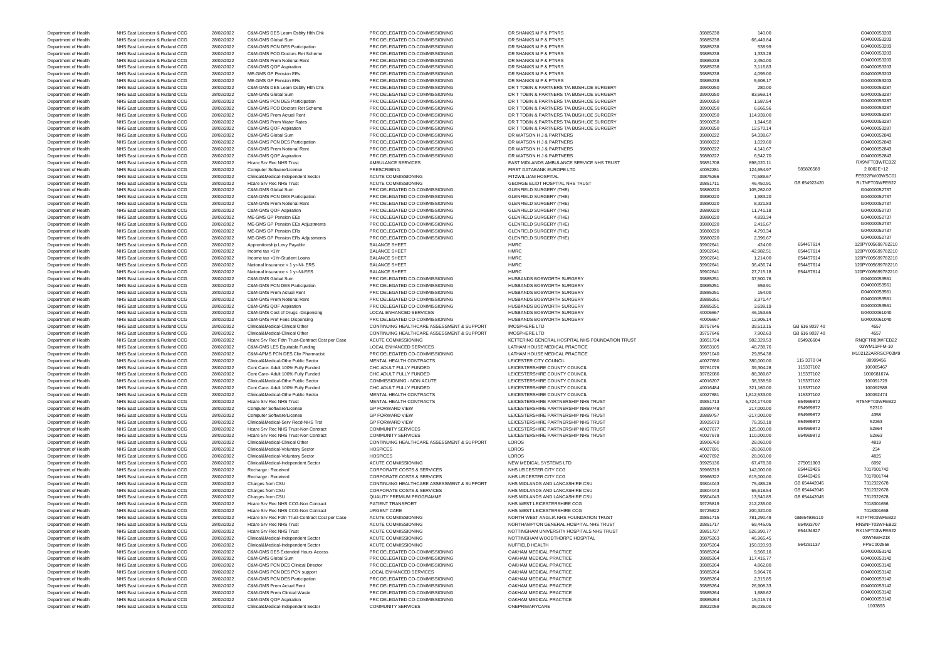Department of Health NHS East Leicester & Rutland CCG 28/02/2022 Clinical&Medical-Independent Sector COMMUNITY SERVICES ONEPRIMARYCARE ONEPRIMARYCARE 39822059 36,036.00 39820059 36,036.00 1003893

Department of Health NHS East Leicester & Rutland CCG 28/02/2022 C&M-GMS DES Learn Dsblty Hlth Chk PRC DELEGATED CO-COMMISSIONING DR SHANKS M P & PTNRS 39885238 39885238 140.00 40000053203 Department of Health NHS East Leicester & Rutland CCG 28/02/2022 C&M-GMS Global Sum PRC DELEGATED CO-COMMISSIONING DR SHANKS M P & PTNRS 39885238 66,449.84 66,449.84 66,449.84 669000053203 Department of Health NHS East Leicester & Rutland CCG 28/02/2022 C&M-GMS PCN DES Participation PRC DELEGATED CO-COMMISSIONING DR SHANKS M P & PTNRS 39885238 39885238 538.99 538.99 538.99 538.99 538.99 538.99 538.99 538.99 Department of Health NHS East Leicester & Rutland CCG 28/02/2022 C&M-GMS PCO Doctors Ret Scheme PRC DELEGATED CO-COMMISSIONING DR SHANKS M P & PTNRS 39885238 39885238 1,333.28 1,333.28 1,333.28 1,333.28 1,333.28 1,333.28 1 Department of Health NHS East Leicester & Rutland CCG 28/02/2022 C&M-GMS Prem Notional Rent PRC DELEGATED CO-COMMISSIONING DR SHANKS M P & PTNRS 39885238 2,450.00 2,450.00 2,450.00 G04000053203 2,450.00 G04000053203 2,450. Department of Health NHS East Leicester & Rutland CCG 28/02/2022 C&M-GMS QOF Aspiration PRC DELEGATED CO-COMMISSIONING DR SHANKS M P & PTNRS 39885238 3,9885238 3,116.83 39885238 3,116.83 Department of Health NHS East Leicester & Rutland CCG 28/02/2022 ME-GMS GP Pension EEs PRC DELEGATED CO-COMMISSIONING DR SHANKS M P & PTNRS 39885238 4,095.00 4,095.00 4,095.00 G04000053203 Department of Health NHS East Leicester & Rutland CCG 28/02/2022 ME-GMS GP Pension ERs PRC DELEGATED CO-COMMISSIONING DR SHANKS M P & PTNRS 39885238 39885238 5,608.17 5,608.17 5,608.17 604000053203 Department of Health NHS East Leicester & Rutland CCG 28/02/2022 C&M-GMS DES Learn Dsblty Hlth Chk PRC DELEGATED CO-COMMISSIONING DR T TOBIN & PARTNERS T/A BUSHLOE SURGERY 39900250 39900250 280.00 280.00 280.00 280.00 CO40 Department of Health NHS East Leicester & Rutland CCG 28/02/2022 C&M-GMS Global Sum PRC DELEGATED CO-COMMISSIONING DR T TOBIN & PARTNERS T/A BUSHLOE SURGERY 39900250 83,669.14 39900250 83,669.14 G04000053287 Department of Health NHS East Leicester & Rutland CCG 28/02/2022 C&M-GMS PCN DES Participation PRC DELEGATED CO-COMMISSIONING DR T TOBIN & PARTNERS T/A BUSHLOE SURGERY 39900250 39900250 1,587.54 39900250 1,587.54 G04000053 Department of Health NHS East Leicester & Rutland CCG 28/02/2022 C&M-GMS PCO Doctors Ret Scheme PRC DELEGATED CO-COMMISSIONING DR T TOBIN & PARTNERS T/A BUSHLOE SURGERY 39900250 6,666.56 666.56 666.56 666.56 G04000053287 Department of Health NHS East Leicester & Rutland CCG 28/02/2022 C&M-GMS Prem Actual Rent PRC DELEGATED CO-COMMISSIONING DR T TOBIN & PARTNERS T/A BUSHLOE SURGERY 39900250 39900250 114,939.00 114,939.00 104000053287 Department of Health NHS East Leicester & Rutland CCG 28/02/2022 C&M-GMS Prem Water Rates PRC DELEGATED CO-COMMISSIONING DR T TOBIN & PARTNERS T/A BUSHLOE SURGERY 39900250 39900250 1,944.50 1,944.50 1,944.50 G04000053287 Department of Health NHS East Leicester & Rutland CCG 28/02/2022 C&M-GMS QOF Aspiration PRC DELEGATED CO-COMMISSIONING DR T TOBIN & PARTNERS T/A BUSHLOE SURGERY 39900250 39900250 12,570.14 12,570.14 G04000053287 Department of Health NHS East Leicester & Rutland CCG 28/02/2022 C&M-GMS Global Sum PRC DELEGATED CO-COMMISSIONING DR WATSON H J & PARTNERS 39880222 54,338.67 54,338.67 54,338.67 604000052843 Department of Health NHS East Leicester & Rutland CCG 28/02/2022 C&M-GMS PCN DES Participation PRC DELEGATED CO-COMMISSIONING DR WATSON H J & PARTNERS 39880222 1,029.60 1,029.60 G04000052843 1,029.60 G04000052843 Department of Health NHS East Leicester & Rutland CCG 28/02/2022 C&M-GMS Prem Notional Rent PRC DELEGATED CO-COMMISSIONING DR WATSON H J & PARTNERS 39880222 4,141.67 39880222 4,141.67 39880222 4,141.67 604000052843 Department of Health NHS East Leicester & Rutland CCG 28/02/2022 C&M-GMS QOF Aspiration PRC DELEGATED CO-COMMISSIONING DR WATSON H J & PARTNERS 39880222 66,542.70 664000052843 Department of Health NHS East Leicester & Rutland CCG 28/02/2022 Hcare Srv Rec NHS Trust AMBULANCE SERVICES EAST MIDLANDS AMBULANCE SERVICE NHS TRUST 39851708 898,020.11 889,020.11 RX9NFT03WFEB22 Department of Health NHS East Leicester & Rutland CCG 28/02/2022 Computer Software/License PRESCRIBING PRESCRIBING FIRST DATABANK EUROPE LTD 40052281 40052281 124,654.97 585826589 2.0082E+12 Department of Health NHS East Leicester & Rutland CCG 28/02/2022 Clinical&Medical-Independent Sector ACUTE COMMISSIONING FITZWILLIAM HOSPITAL 39875266 70,589.67 77,589.67 FEB22FW03WSC01 Department of Health NHS East Leicester & Rutland CCG 28/02/2022 Hcare Srv Rec NHS Trust ACUTE COMMISSIONING GEORGE ELIOT HOSPITAL NHS TRUST 39851711 46,450.91 GB 654922420 RLTNFT03WFEB22 Department of Health NHS East Leicester & Rutland CCG 28/02/2022 C&M-GMS Global Sum PRC DELEGATED CO-COMMISSIONING GLENFIELD SURGERY (THE) 39880220 105,262.02 105,262.02 105,262.02 Department of Health NHS East Leicester & Rutland CCG 28/02/2022 C&M-GMS PCN DES Participation PRC DELEGATED CO-COMMISSIONING GLENFIELD SURGERY (THE) 39880220 39880220 1,983.20 1,983.20 1,983.20 1,983.20 1,983.20 604000052 Department of Health NHS East Leicester & Rutland CCG 28/02/2022 C&M-GMS Prem Notional Rent PRC DELEGATED CO-COMMISSIONING GLENFIELD SURGERY (THE) 39880220 8,321.83 8880220 8,321.83 G04000052737 Department of Health NHS East Leicester & Rutland CCG 28/02/2022 C&M-GMS QOF Aspiration PRC DELEGATED CO-COMMISSIONING GLENFIELD SURGERY (THE) 39880220 39880220 11,741.18 11,741.18 G04000052737 Department of Health NHS East Leicester & Rutland CCG 28/02/2022 ME-GMS GP Pension EEs PRC DELEGATED CO-COMMISSIONING GLENFIELD SURGERY (THE) 39880220 4,833.34 39880220 4,833.34 G04000052737 Department of Health NHS East Leicester & Rutland CCG 28/02/2022 ME-GMS GP Pension EEs Adjustments PRC DELEGATED CO-COMMISSIONING GLENFIELD SURGERY (THE) 39880220 2,416.67 39880220 2,416.67 39880220 2,416.67 G04000052737 Department of Health NHS East Leicester & Rutland CCG 28/02/2022 ME-GMS GP Pension ERs PRC DELEGATED CO-COMMISSIONING GLENFIELD SURGERY (THE) 39880220 4,793.34 39880220 4,793.34 G04000052737 Department of Health NHS East Leicester & Rutland CCG 28/02/2022 ME-GMS GP Pension ERs Adjustments PRC DELEGATED CO-COMMISSIONING GLENFIELD SURGERY (THE) 39880220 2,396.67 39880220 2,396.67 39880220 2,396.67 604000052737 Department of Health NHS East Leicester & Rutland CCG 28/02/2022 Apprenticeship Levy Payable BALANCE SHEET HMRC HMRC NEWS AND ANNOWERS ARE ALTER STATES AND A SUBPOOSE APPROOSE APPROOSE APPROOSE APPROOSE APPROOSE APPROOSE A Department of Health NHS East Leicester & Rutland CCG 28/02/2022 Income tax <1Yr BALANCE SHEET HMRC HMRC 39902641 39902641 42,982.51 654457614 120PY005699782210 Department of Health NHS East Leicester & Rutland CCG 28/02/2022 Income tax <1Yr-Student Loans BALANCE SHEET HMRC HMRC 39902641 39902641 1,214.00 654457614 120PY005699782210 Department of Health NHS East Leicester & Rutland CCG 28/02/2022 National Insurance < 1 yr-NI- ERS BALANCE SHEET HMRC HMRC 39902641 36,436.74 654457614 654457614 120PY005699782210 Department of Health NHS East Leicester & Rutland CCG 28/02/2022 National Insurance < 1 yr-NI-EES BALANCE SHEET HMRC HMRC 39902641 27,715.18 654457614 120PY005699782210 Department of Health NHS East Leicester & Rutland CCG 28/02/2022 C&M-GMS Global Sum PRC DELEGATED CO-COMMISSIONING HUSBANDS BOSWORTH SURGERY 39885251 37,500.76 39885251 37,500.76 G04000053561 504000053561 Department of Health NHS East Leicester & Rutland CCG 28/02/2022 C&M-GMS PCN DES Participation PRC DELEGATED CO-COMMISSIONING HUSBANDS BOSWORTH SURGERY 39885251 659.91 669.91 669.91 669000053561 Department of Health NHS East Leicester & Rutland CCG 28/02/2022 C&M-GMS Prem Actual Rent PRC DELEGATED CO-COMMISSIONING HUSBANDS BOSWORTH SURGERY 39885251 39885251 154.00 154.00 604000053561 604000053561 Department of Health NHS East Leicester & Rutland CCG 28/02/2022 C&M-GMS Prem Notional Rent PRC DELEGATED CO-COMMISSIONING HUSBANDS BOSWORTH SURGERY 39885251 3,371.47 39885251 3,371.47 39885251 3,371.47 39885251 3,371.47 Department of Health NHS East Leicester & Rutland CCG 28/02/2022 C&M-GMS QOF Aspiration PRC DELEGATED CO-COMMISSIONING HUSBANDS BOSWORTH SURGERY 39885251 3,639.19 39885251 3,639.19 3,639.19 3,639.19 Department of Health NHS East Leicester & Rutland CCG 28/02/2022 C&M-GMS Cost of Drugs -Dispensing LOCAL ENHANCED SERVICES HUSBANDS BOSWORTH SURGERY 40006667 46,153.65 466,153.65 466,153.65 604000061040 Department of Health NHS East Leicester & Rutland CCG 28/02/2022 C&M-GMS Prof Fees Dispensing PRC DELEGATED CO-COMMISSIONING HUSBANDS BOSWORTH SURGERY 40006667 12,905.14 40006667 12,905.14 G04000061040 Department of Health NHS East Leicester & Rutland CCG 28/02/2022 Clinical&Medical-Clinical Other CONTINUING HEALTHCARE ASSESSMENT & SUPPORT IMOSPHERE LTD 39757646 39,513.15 GB 616 8037 40 4557 Department of Health NHS East Leicester & Rutland CCG 28/02/2022 Clinical&Medical-Clinical Other Control CONTINUING HEALTHCARE ASSESSMENT & SUPPORT IMOSPHERE LTD 39757646 7,902.63 GB 616 8037 40 4557<br>Department of Health N Department of Health MHS East Leicester & Rutland CCG 28/02/2022 Hcare Srv Rec Fdtn Trust-Contract Cost per Case ACUTE COMMISSIONING KETTERING GENERAL HOSPITAL NHS FOUNDATION TRUST 39851724 982.329.53 654926604 Department of Health NHS East Leicester & Rutland CCG 28/02/2022 C&M-GMS LES Equitable Funding LOCAL ENHANCED SERVICES LATHAM HOUSE MEDICAL PRACTICE 39853105 48,738.76 48,738.76 48,738.76 03WM11FFM-10 Department of Health NHS East Leicester & Rutland CCG 28/02/2022 C&M-APMS PCN DES Clin Pharmacist PRC DELEGATED CO-COMMISSIONING LATHAM HOUSE MEDICAL PRACTICE 39971040 29,854.38 M102122ARRSCP03M9 Department of Health NHS East Leicester & Rutland CCG 28/02/2022 Clinical&Medical-Othe Public Sector MENTAL HEALTH CONTRACTS LEICESTER CITY COUNCIL LEGESTER CITY COUNCIL 40027680 380,000.00 115 3370 04 88999456 Department of Health NHS East Leicester & Rutland CCG 28/02/2022 Cont Care- Adult 100% Fully Funded CHC ADULT FULLY FUNDED LEICESTERSHIRE COUNTY COUNCIL 2000 2000 2000 39,304.28 115337102 100085467 Department of Health NHS East Leicester & Rutland CCG 28/02/2022 Cont Care- Adult 100% Fully Funded CHC ADULT FULLY FUNDED LEICESTERSHIRE COUNTY COUNCIL 39782086 88,389.87 115337102 100068167A Department of Health NHS East Leicester & Rutland CCG 28/02/2022 Clinical&Medical-Othe Public Sector COMMISSIONING - NON ACUTE LEICESTERSHIRE COUNTY COUNCIL 40016207 38,338.50 115337102 100091729 Department of Health NHS East Leicester & Rutland CCG 28/02/2022 Cont Care- Adult 100% Fully Funded CHC ADULT FULLY FUNDED LEICESTERSHIRE COUNTY COUNCIL 40016484 321,160.00 115337102 100092588 Department of Health NHS East Leicester & Rutland CCG 28/02/2022 Clinical&Medical-Othe Public Sector MENTAL HEALTH CONTRACTS LEICESTERSHIRE COUNTY COUNCIL 40027681 1,812,533.00 115337102 100092474 Department of Health NHS East Leicester & Rutland CCG 28/02/2022 Hcare Srv Rec NHS Trust MENTAL HEALTH CONTRACTS LEICESTERSHIRE PARTNERSHIP NHS TRUST 39851713 5,724,174.00 654969872 RT5NFT03WFEB22 Department of Health NHS East Leicester & Rutland CCG 28/02/2022 Computer Software/License GP FORWARD VIEW LEICESTERSHIRE PARTNERSHIP NHS TRUST 39889748 217,000.00 654969872 52310 Department of Health NHS East Leicester & Rutland CCG 28/02/2022 Computer Software/License GP FORWARD VIEW LEICESTERSHIRE PARTNERSHIRE PARTNERSHIP NHS TRUST 39889757 -217,000.00 654969872 4358 Department of Health NHS East Leicester & Rutland CCG 28/02/2022 Clinical&Medical-Serv Recd-NHS Trst GP FORWARD VIEW LEICESTERSHIRE PARTNERSHIP NHS TRUST 39925073 79,350.18 654969872 652263 Department of Health NHS East Leicester & Rutland CCG 28/02/2022 Hcare Srv Rec NHS Trust-Non Contract COMMUNITY SERVICES LEICESTERSHIRE PARTNERSHIP NHS TRUST 40027677 125,000.00 654969872 52664 Department of Health NHS East Leicester & Rutland CCG 28/02/2022 Hcare Srv Rec NHS Trust-Non Contract COMMUNITY SERVICES LEICESTERSHIRE PARTNERSHIP NHS TRUST 40027678 110,000.00 654969872 52663 Department of Health NHS East Leicester & Rutland CCG 28/02/2022 Clinical&Medical-Clinical Other CONTINUING HEALTHCARE ASSESSMENT & SUPPORT LOROS 39906760 28,060.00 28,060.00 4819 Department of Health NHS East Leicester & Rutland CCG 28/02/2022 Clinical&Medical-Voluntary Sector HOSPICES LOROS LOROS 40027691 -28,060.00 234 Department of Health NHS East Leicester & Rutland CCG 28/02/2022 Clinical&Medical-Voluntary Sector HOSPICES LOROS LOROS 40027692 28,060.00 4825 Department of Health NHS East Leicester & Rutland CCG 28/02/2022 Clinical&Medical-Independent Sector ACUTE COMMISSIONING NEW MEDICAL SYSTEMS LTD 39925136 39925136 67,478.30 275051903 6092 Department of Health NHS East Leicester & Rutland CCG 28/02/2022 Recharge : Received CORPORATE COSTS & SERVICES NHS LEICESTER CITY CCG 39966319 39966319 142,000.00 654463426 7017001742 Department of Health NHS East Leicester & Rutland CCG 28/02/2022 Recharge : Received CORPORATE COSTS & SERVICES NHS LEICESTER CITY CCG 39966322 615,000.00 654463426 7017001744 Department of Health NHS East Leicester & Rutland CCG 28/02/2022 Charges from CSU CONTINUING HEALTHCARE ASSESSMENT & SUPPORT NHS MIDLANDS AND LANCASHIRE CSU CONTINUING HEALTHCARE ASSESSMENT & SUPPORT NHS MIDLANDS AND LANCA Department of Health NHS East Leicester & Rutland CCG 28/02/2022 Charges from CSU CORPORATE COSTS & SERVICES NHS MIDLANDS AND LANCASHIRE CSU 39804043 65,618.54 GB 654442045 7312322678 Department of Health NHS East Leicester & Rutland CCG 28/02/2022 Charges from CSU QUALITY PREMIUM PROGRAMME NHS MIDLANDS AND LANCASHIRE CSU 39804043 13,540.85 GB 654442045 7312322678 Department of Health NHS East Leicester & Rutland CCG 28/02/2022 Hcare Srv Rec NHS CCG-Non Contract PATIENT TRANSPORT NHS WEST LEICESTERSHIRE CCG 39725819 212,235.00 212,235.00 7018301656 Department of Health NHS East Leicester & Rutland CCG 28/02/2022 Hcare Srv Rec NHS CCG-Non Contract URGENT CARE NHS WEST LEICESTERSHIRE CCG 39725822 200,320.00 7018301658 Department of Health NHS East Leicester & Rutland CCG 28/02/2022 Hcare Srv Rec Fdtn Trust-Contract Cost per Case ACUTE COMMISSIONING NORTH WEST ANGLIA NHS FOUNDATION TRUST 200.49 781,290.49 GB654936110 R07FTR03WFEB22 Department of Health NHS East Leicester & Rutland CCG 28/02/2022 Hcare Srv Rec NHS Trust ACUTE COMMISSIONING NORTHAMPTON GENERAL HOSPITAL NHS TRUST 39851717 69,445.05 654933707 RNSNFT03WFEB22 Department of Health NHS East Leicester & Rutland CCG 28/02/2022 Hcare Srv Rec NHS Trust ACUTE COMMISSIONING NOTTINGHAM UNIVERSITY HOSPITALS NHS TRUST 39851727 586,990.77 654434827 RX1NFT03WFEB22 Department of Health NHS East Leicester & Rutland CCG 28/02/2022 Clinical&Medical-Independent Sector ACUTE COMMISSIONING NOTTINGHAM WOODTHORPE HOSPITAL 39875263 46,965.45 46,965.45 03WNWH218 Department of Health NHS East Leicester & Rutland CCG 28/02/2022 Clinical&Medical-Independent Sector ACUTE COMMISSIONING NUFFIELD HEALTH 39875264 39875264 150,020.93 564291137 FPSC002558 Department of Health NHS East Leicester & Rutland CCG 28/02/2022 C&M-GMS DES Extended Hours Access PRC DELEGATED CO-COMMISSIONING OAKHAM MEDICAL PRACTICE 39885264 39885264 9,566.16 9,566.16 9,566.16 9,566.16 G04000053142 Department of Health NHS East Leicester & Rutland CCG 28/02/2022 C&M-GMS Global Sum PRC DELEGATED CO-COMMISSIONING OAKHAM MEDICAL PRACTICE 39885264 117,416.77 G04000053142 Department of Health NHS East Leicester & Rutland CCG 28/02/2022 C&M-GMS PCN DES Clinical Director PRC DELEGATED CO-COMMISSIONING OAKHAM MEDICAL PRACTICE 39885264 39885264 4,862.80 Department of Health NHS East Leicester & Rutland CCG 28/02/2022 C&M-GMS PCN DES PCN support LOCAL ENHANCED SERVICES OAKHAM MEDICAL PRACTICE 39885264 39885264 9,964.76 9,964.76 9,964.76 S040000053142 Department of Health NHS East Leicester & Rutland CCG 28/02/2022 C&M-GMS PCN DES Participation PRC DELEGATED CO-COMMISSIONING OAKHAM MEDICAL PRACTICE 39885264 39885264 2,315.85 39885264 2,315.85 G04000053142 Department of Health NHS East Leicester & Rutland CCG 28/02/2022 C&M-GMS Prem Actual Rent PRC DELEGATED CO-COMMISSIONING OAKHAM MEDICAL PRACTICE 39885264 26,908.33 39885264 26,908.33 G04000053142 Department of Health NHS East Leicester & Rutland CCG 28/02/2022 C&M-GMS Prem Clinical Waste PRC DELEGATED CO-COMMISSIONING OAKHAM MEDICAL PRACTICE 39885264 39885264 1,686.62 1,686.62 504000053142 Department of Health NHS East Leicester & Rutland CCG 28/02/2022 C&M-GMS QOF Aspiration PRC DELEGATED CO-COMMISSIONING OAKHAM MEDICAL PRACTICE 39885264 39885264 15,015.74 15,015.74 604000053142